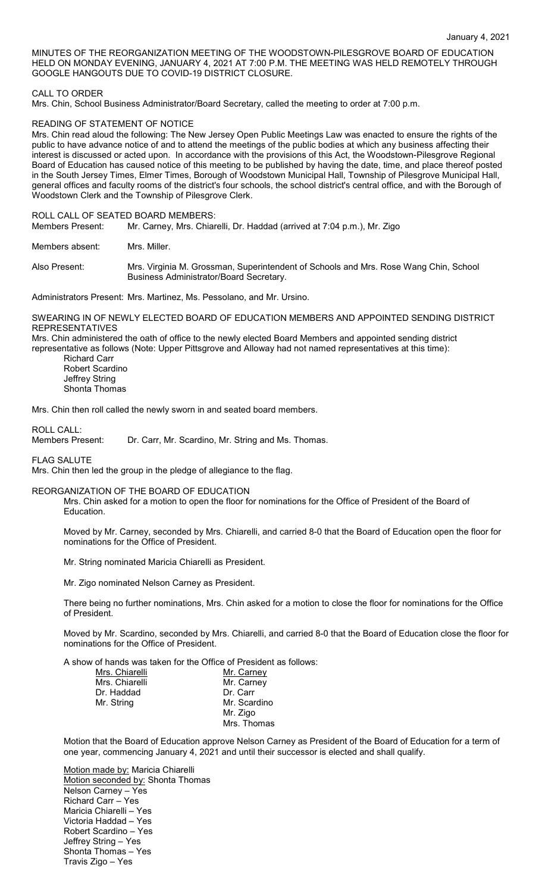MINUTES OF THE REORGANIZATION MEETING OF THE WOODSTOWN-PILESGROVE BOARD OF EDUCATION HELD ON MONDAY EVENING, JANUARY 4, 2021 AT 7:00 P.M. THE MEETING WAS HELD REMOTELY THROUGH GOOGLE HANGOUTS DUE TO COVID-19 DISTRICT CLOSURE.

### CALL TO ORDER

Mrs. Chin, School Business Administrator/Board Secretary, called the meeting to order at 7:00 p.m.

## READING OF STATEMENT OF NOTICE

Mrs. Chin read aloud the following: The New Jersey Open Public Meetings Law was enacted to ensure the rights of the public to have advance notice of and to attend the meetings of the public bodies at which any business affecting their interest is discussed or acted upon. In accordance with the provisions of this Act, the Woodstown-Pilesgrove Regional Board of Education has caused notice of this meeting to be published by having the date, time, and place thereof posted in the South Jersey Times, Elmer Times, Borough of Woodstown Municipal Hall, Township of Pilesgrove Municipal Hall, general offices and faculty rooms of the district's four schools, the school district's central office, and with the Borough of Woodstown Clerk and the Township of Pilesgrove Clerk.

# ROLL CALL OF SEATED BOARD MEMBERS:<br>Members Present: Mr. Carney, Mrs. Chiar

Mr. Carney, Mrs. Chiarelli, Dr. Haddad (arrived at 7:04 p.m.), Mr. Zigo

Members absent: Mrs. Miller.

Also Present: Mrs. Virginia M. Grossman, Superintendent of Schools and Mrs. Rose Wang Chin, School Business Administrator/Board Secretary.

Administrators Present: Mrs. Martinez, Ms. Pessolano, and Mr. Ursino.

SWEARING IN OF NEWLY ELECTED BOARD OF EDUCATION MEMBERS AND APPOINTED SENDING DISTRICT REPRESENTATIVES

Mrs. Chin administered the oath of office to the newly elected Board Members and appointed sending district representative as follows (Note: Upper Pittsgrove and Alloway had not named representatives at this time):

Richard Carr Robert Scardino Jeffrey String Shonta Thomas

Mrs. Chin then roll called the newly sworn in and seated board members.

ROLL CALL:<br>Members Present: Dr. Carr, Mr. Scardino, Mr. String and Ms. Thomas.

FLAG SALUTE

Mrs. Chin then led the group in the pledge of allegiance to the flag.

### REORGANIZATION OF THE BOARD OF EDUCATION

Mrs. Chin asked for a motion to open the floor for nominations for the Office of President of the Board of Education.

Moved by Mr. Carney, seconded by Mrs. Chiarelli, and carried 8-0 that the Board of Education open the floor for nominations for the Office of President.

Mr. String nominated Maricia Chiarelli as President.

Mr. Zigo nominated Nelson Carney as President.

There being no further nominations, Mrs. Chin asked for a motion to close the floor for nominations for the Office of President.

Moved by Mr. Scardino, seconded by Mrs. Chiarelli, and carried 8-0 that the Board of Education close the floor for nominations for the Office of President.

A show of hands was taken for the Office of President as follows:

| Mrs. Chiarelli | Mr. Carney   |
|----------------|--------------|
| Mrs. Chiarelli | Mr. Carney   |
| Dr. Haddad     | Dr. Carr     |
| Mr. String     | Mr. Scardino |
|                | Mr. Zigo     |
|                | Mrs. Thomas  |

Motion that the Board of Education approve Nelson Carney as President of the Board of Education for a term of one year, commencing January 4, 2021 and until their successor is elected and shall qualify.

Motion made by: Maricia Chiarelli Motion seconded by: Shonta Thomas Nelson Carney – Yes Richard Carr – Yes Maricia Chiarelli – Yes Victoria Haddad – Yes Robert Scardino – Yes Jeffrey String – Yes Shonta Thomas – Yes Travis Zigo – Yes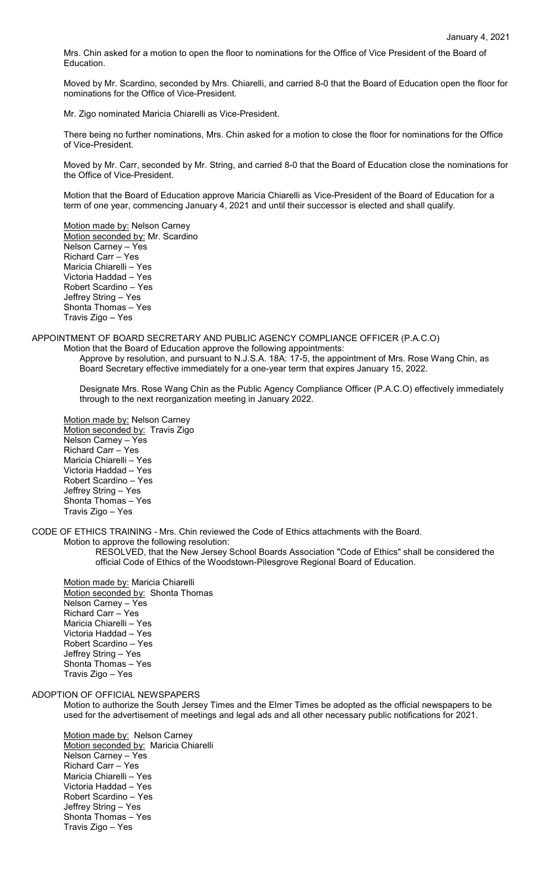Mrs. Chin asked for a motion to open the floor to nominations for the Office of Vice President of the Board of Education.

Moved by Mr. Scardino, seconded by Mrs. Chiarelli, and carried 8-0 that the Board of Education open the floor for nominations for the Office of Vice-President.

Mr. Zigo nominated Maricia Chiarelli as Vice-President.

There being no further nominations, Mrs. Chin asked for a motion to close the floor for nominations for the Office of Vice-President.

Moved by Mr. Carr, seconded by Mr. String, and carried 8-0 that the Board of Education close the nominations for the Office of Vice-President.

Motion that the Board of Education approve Maricia Chiarelli as Vice-President of the Board of Education for a term of one year, commencing January 4, 2021 and until their successor is elected and shall qualify.

Motion made by: Nelson Carney Motion seconded by: Mr. Scardino Nelson Carney – Yes Richard Carr – Yes Maricia Chiarelli – Yes Victoria Haddad – Yes Robert Scardino – Yes Jeffrey String – Yes Shonta Thomas – Yes Travis Zigo – Yes

APPOINTMENT OF BOARD SECRETARY AND PUBLIC AGENCY COMPLIANCE OFFICER (P.A.C.O)

Motion that the Board of Education approve the following appointments: Approve by resolution, and pursuant to N.J.S.A. 18A: 17-5, the appointment of Mrs. Rose Wang Chin, as Board Secretary effective immediately for a one-year term that expires January 15, 2022.

Designate Mrs. Rose Wang Chin as the Public Agency Compliance Officer (P.A.C.O) effectively immediately through to the next reorganization meeting in January 2022.

Motion made by: Nelson Carney Motion seconded by: Travis Zigo Nelson Carney – Yes Richard Carr – Yes Maricia Chiarelli – Yes Victoria Haddad – Yes Robert Scardino – Yes Jeffrey String – Yes Shonta Thomas – Yes Travis Zigo – Yes

CODE OF ETHICS TRAINING - Mrs. Chin reviewed the Code of Ethics attachments with the Board.

Motion to approve the following resolution:

RESOLVED, that the New Jersey School Boards Association "Code of Ethics" shall be considered the official Code of Ethics of the Woodstown-Pilesgrove Regional Board of Education.

Motion made by: Maricia Chiarelli Motion seconded by: Shonta Thomas Nelson Carney – Yes Richard Carr – Yes Maricia Chiarelli – Yes Victoria Haddad – Yes Robert Scardino – Yes Jeffrey String – Yes Shonta Thomas – Yes Travis Zigo – Yes

# ADOPTION OF OFFICIAL NEWSPAPERS

Motion to authorize the South Jersey Times and the Elmer Times be adopted as the official newspapers to be used for the advertisement of meetings and legal ads and all other necessary public notifications for 2021.

Motion made by: Nelson Carney Motion seconded by: Maricia Chiarelli Nelson Carney – Yes Richard Carr – Yes Maricia Chiarelli – Yes Victoria Haddad – Yes Robert Scardino – Yes Jeffrey String – Yes Shonta Thomas – Yes Travis Zigo – Yes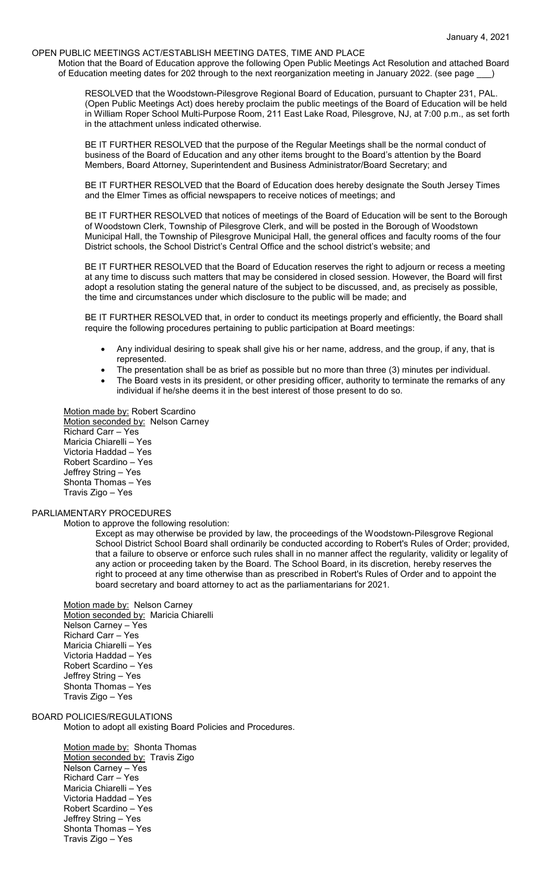## OPEN PUBLIC MEETINGS ACT/ESTABLISH MEETING DATES, TIME AND PLACE

Motion that the Board of Education approve the following Open Public Meetings Act Resolution and attached Board of Education meeting dates for 202 through to the next reorganization meeting in January 2022. (see page

RESOLVED that the Woodstown-Pilesgrove Regional Board of Education, pursuant to Chapter 231, PAL. (Open Public Meetings Act) does hereby proclaim the public meetings of the Board of Education will be held in William Roper School Multi-Purpose Room, 211 East Lake Road, Pilesgrove, NJ, at 7:00 p.m., as set forth in the attachment unless indicated otherwise.

BE IT FURTHER RESOLVED that the purpose of the Regular Meetings shall be the normal conduct of business of the Board of Education and any other items brought to the Board's attention by the Board Members, Board Attorney, Superintendent and Business Administrator/Board Secretary; and

BE IT FURTHER RESOLVED that the Board of Education does hereby designate the South Jersey Times and the Elmer Times as official newspapers to receive notices of meetings; and

BE IT FURTHER RESOLVED that notices of meetings of the Board of Education will be sent to the Borough of Woodstown Clerk, Township of Pilesgrove Clerk, and will be posted in the Borough of Woodstown Municipal Hall, the Township of Pilesgrove Municipal Hall, the general offices and faculty rooms of the four District schools, the School District's Central Office and the school district's website; and

BE IT FURTHER RESOLVED that the Board of Education reserves the right to adjourn or recess a meeting at any time to discuss such matters that may be considered in closed session. However, the Board will first adopt a resolution stating the general nature of the subject to be discussed, and, as precisely as possible, the time and circumstances under which disclosure to the public will be made; and

BE IT FURTHER RESOLVED that, in order to conduct its meetings properly and efficiently, the Board shall require the following procedures pertaining to public participation at Board meetings:

- Any individual desiring to speak shall give his or her name, address, and the group, if any, that is represented.
- The presentation shall be as brief as possible but no more than three (3) minutes per individual.
- The Board vests in its president, or other presiding officer, authority to terminate the remarks of any individual if he/she deems it in the best interest of those present to do so.

Motion made by: Robert Scardino Motion seconded by: Nelson Carney Richard Carr – Yes Maricia Chiarelli – Yes Victoria Haddad – Yes Robert Scardino – Yes Jeffrey String – Yes Shonta Thomas – Yes Travis Zigo – Yes

# PARLIAMENTARY PROCEDURES

Motion to approve the following resolution:

Except as may otherwise be provided by law, the proceedings of the Woodstown-Pilesgrove Regional School District School Board shall ordinarily be conducted according to Robert's Rules of Order; provided, that a failure to observe or enforce such rules shall in no manner affect the regularity, validity or legality of any action or proceeding taken by the Board. The School Board, in its discretion, hereby reserves the right to proceed at any time otherwise than as prescribed in Robert's Rules of Order and to appoint the board secretary and board attorney to act as the parliamentarians for 2021.

Motion made by: Nelson Carney Motion seconded by: Maricia Chiarelli Nelson Carney – Yes Richard Carr – Yes Maricia Chiarelli – Yes Victoria Haddad – Yes Robert Scardino – Yes Jeffrey String – Yes Shonta Thomas – Yes Travis Zigo – Yes

BOARD POLICIES/REGULATIONS

Motion to adopt all existing Board Policies and Procedures.

Motion made by: Shonta Thomas Motion seconded by: Travis Zigo Nelson Carney – Yes Richard Carr – Yes Maricia Chiarelli – Yes Victoria Haddad – Yes Robert Scardino – Yes Jeffrey String – Yes Shonta Thomas – Yes Travis Zigo – Yes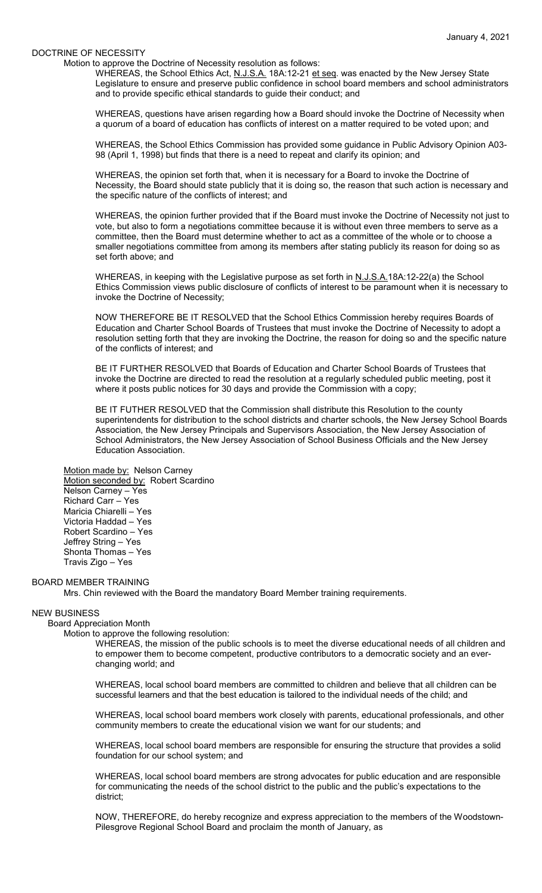#### DOCTRINE OF NECESSITY

Motion to approve the Doctrine of Necessity resolution as follows:

WHEREAS, the School Ethics Act, N.J.S.A. 18A:12-21 et seq. was enacted by the New Jersey State Legislature to ensure and preserve public confidence in school board members and school administrators and to provide specific ethical standards to guide their conduct; and

WHEREAS, questions have arisen regarding how a Board should invoke the Doctrine of Necessity when a quorum of a board of education has conflicts of interest on a matter required to be voted upon; and

WHEREAS, the School Ethics Commission has provided some guidance in Public Advisory Opinion A03- 98 (April 1, 1998) but finds that there is a need to repeat and clarify its opinion; and

WHEREAS, the opinion set forth that, when it is necessary for a Board to invoke the Doctrine of Necessity, the Board should state publicly that it is doing so, the reason that such action is necessary and the specific nature of the conflicts of interest; and

WHEREAS, the opinion further provided that if the Board must invoke the Doctrine of Necessity not just to vote, but also to form a negotiations committee because it is without even three members to serve as a committee, then the Board must determine whether to act as a committee of the whole or to choose a smaller negotiations committee from among its members after stating publicly its reason for doing so as set forth above; and

WHEREAS, in keeping with the Legislative purpose as set forth in N.J.S.A.18A:12-22(a) the School Ethics Commission views public disclosure of conflicts of interest to be paramount when it is necessary to invoke the Doctrine of Necessity;

NOW THEREFORE BE IT RESOLVED that the School Ethics Commission hereby requires Boards of Education and Charter School Boards of Trustees that must invoke the Doctrine of Necessity to adopt a resolution setting forth that they are invoking the Doctrine, the reason for doing so and the specific nature of the conflicts of interest; and

BE IT FURTHER RESOLVED that Boards of Education and Charter School Boards of Trustees that invoke the Doctrine are directed to read the resolution at a regularly scheduled public meeting, post it where it posts public notices for 30 days and provide the Commission with a copy;

BE IT FUTHER RESOLVED that the Commission shall distribute this Resolution to the county superintendents for distribution to the school districts and charter schools, the New Jersey School Boards Association, the New Jersey Principals and Supervisors Association, the New Jersey Association of School Administrators, the New Jersey Association of School Business Officials and the New Jersey Education Association.

#### Motion made by: Nelson Carney

Motion seconded by: Robert Scardino Nelson Carney – Yes Richard Carr – Yes Maricia Chiarelli – Yes Victoria Haddad – Yes Robert Scardino – Yes Jeffrey String – Yes Shonta Thomas – Yes Travis Zigo – Yes

#### BOARD MEMBER TRAINING

Mrs. Chin reviewed with the Board the mandatory Board Member training requirements.

#### NEW BUSINESS

Board Appreciation Month

Motion to approve the following resolution:

WHEREAS, the mission of the public schools is to meet the diverse educational needs of all children and to empower them to become competent, productive contributors to a democratic society and an everchanging world; and

WHEREAS, local school board members are committed to children and believe that all children can be successful learners and that the best education is tailored to the individual needs of the child; and

WHEREAS, local school board members work closely with parents, educational professionals, and other community members to create the educational vision we want for our students; and

WHEREAS, local school board members are responsible for ensuring the structure that provides a solid foundation for our school system; and

WHEREAS, local school board members are strong advocates for public education and are responsible for communicating the needs of the school district to the public and the public's expectations to the district;

NOW, THEREFORE, do hereby recognize and express appreciation to the members of the Woodstown-Pilesgrove Regional School Board and proclaim the month of January, as